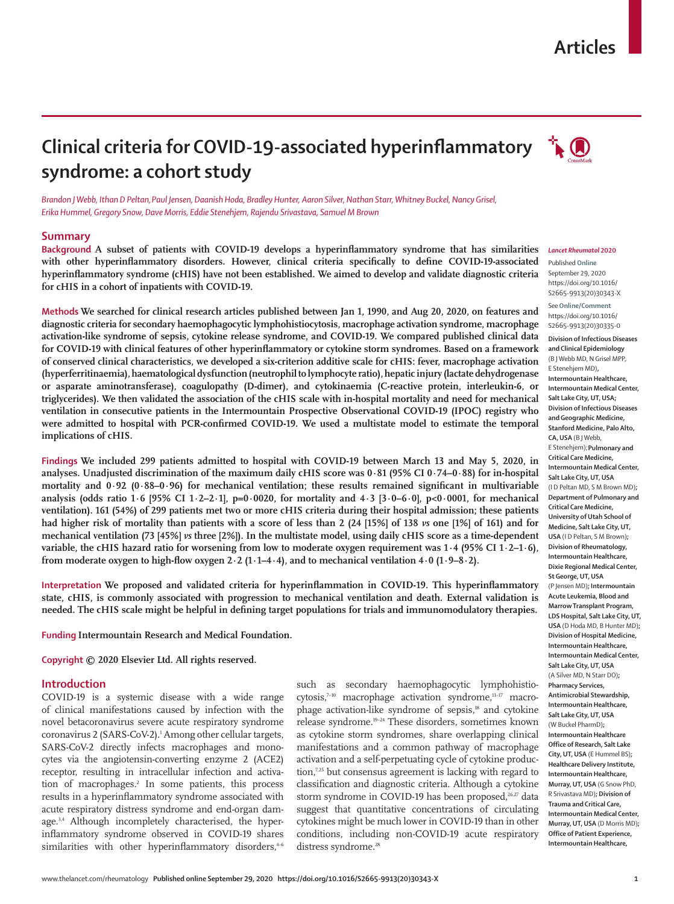## **Articles**



# **Clinical criteria for COVID-19-associated hyperinflammatory syndrome: a cohort study**

*Brandon J Webb, Ithan D Peltan,Paul Jensen, Daanish Hoda, Bradley Hunter, Aaron Silver, Nathan Starr, Whitney Buckel, Nancy Grisel, Erika Hummel, Gregory Snow, Dave Morris, Eddie Stenehjem, Rajendu Srivastava, Samuel M Brown*

## **Summary**

**Background A subset of patients with COVID-19 develops a hyperinflammatory syndrome that has similarities with other hyperinflammatory disorders. However, clinical criteria specifically to define COVID-19-associated hyperinflammatory syndrome (cHIS) have not been established. We aimed to develop and validate diagnostic criteria for cHIS in a cohort of inpatients with COVID-19.**

**Methods We searched for clinical research articles published between Jan 1, 1990, and Aug 20, 2020, on features and diagnostic criteria for secondary haemophagocytic lymphohistiocytosis, macrophage activation syndrome, macrophage activation-like syndrome of sepsis, cytokine release syndrome, and COVID-19. We compared published clinical data for COVID-19 with clinical features of other hyperinflammatory or cytokine storm syndromes. Based on a framework of conserved clinical characteristics, we developed a six-criterion additive scale for cHIS: fever, macrophage activation (hyperferritinaemia), haematological dysfunction (neutrophil to lymphocyte ratio), hepatic injury (lactate dehydrogenase or asparate aminotransferase), coagulopathy (D-dimer), and cytokinaemia (C-reactive protein, interleukin-6, or triglycerides). We then validated the association of the cHIS scale with in-hospital mortality and need for mechanical ventilation in consecutive patients in the Intermountain Prospective Observational COVID-19 (IPOC) registry who were admitted to hospital with PCR-confirmed COVID-19. We used a multistate model to estimate the temporal implications of cHIS.**

**Findings We included 299 patients admitted to hospital with COVID-19 between March 13 and May 5, 2020, in analyses. Unadjusted discrimination of the maximum daily cHIS score was 0·81 (95% CI 0·74–0·88) for in-hospital mortality and 0·92 (0·88–0·96) for mechanical ventilation; these results remained significant in multivariable analysis (odds ratio 1·6 [95% CI 1·2–2·1], p=0·0020, for mortality and 4·3 [3·0–6·0], p<0·0001, for mechanical ventilation). 161 (54%) of 299 patients met two or more cHIS criteria during their hospital admission; these patients had higher risk of mortality than patients with a score of less than 2 (24 [15%] of 138** *vs* **one [1%] of 161) and for mechanical ventilation (73 [45%]** *vs* **three [2%]). In the multistate model, using daily cHIS score as a time-dependent variable, the cHIS hazard ratio for worsening from low to moderate oxygen requirement was 1·4 (95% CI 1·2–1·6), from moderate oxygen to high-flow oxygen 2·2 (1·1–4·4), and to mechanical ventilation 4·0 (1·9–8·2).**

**Interpretation We proposed and validated criteria for hyperinflammation in COVID-19. This hyperinflammatory state, cHIS, is commonly associated with progression to mechanical ventilation and death. External validation is needed. The cHIS scale might be helpful in defining target populations for trials and immunomodulatory therapies.**

**Funding Intermountain Research and Medical Foundation.**

**Copyright © 2020 Elsevier Ltd. All rights reserved.**

## **Introduction**

COVID-19 is a systemic disease with a wide range of clinical manifestations caused by infection with the novel betacoronavirus severe acute respiratory syndrome coronavirus 2 (SARS-CoV-2).1 Among other cellular targets, SARS-CoV-2 directly infects macrophages and monocytes via the angiotensin-converting enzyme 2 (ACE2) receptor, resulting in intracellular infection and activation of macrophages.<sup>2</sup> In some patients, this process results in a hyperinflammatory syndrome associated with acute respiratory distress syndrome and end-organ damage.<sup>3,4</sup> Although incompletely characterised, the hyperinflammatory syndrome observed in COVID-19 shares similarities with other hyperinflammatory disorders, $4-6$ 

such as secondary haemophagocytic lymphohistiocytosis,<sup>7–10</sup> macrophage activation syndrome,<sup>11–17</sup> macrophage activation-like syndrome of sepsis,<sup>18</sup> and cytokine release syndrome.19–24 These disorders, sometimes known as cytokine storm syndromes, share overlapping clinical manifestations and a common pathway of macrophage activation and a self-perpetuating cycle of cytokine production,7,25 but consensus agreement is lacking with regard to classification and diagnostic criteria. Although a cytokine storm syndrome in COVID-19 has been proposed,<sup>26,27</sup> data suggest that quantitative concentrations of circulating cytokines might be much lower in COVID-19 than in other conditions, including non-COVID-19 acute respiratory distress syndrome.<sup>28</sup>

#### *Lancet Rheumatol* **2020**

Published **Online** September 29, 2020 https://doi.org/10.1016/ S2665-9913(20)30343-X

See**Online/Comment** https://doi.org/10.1016/ S2665-9913(20)30335-0

**Division of Infectious Diseases and Clinical Epidemiology** (B J Webb MD, N Grisel MPP, E Stenehjem MD)**, Intermountain Healthcare, Intermountain Medical Center, Salt Lake City, UT, USA; Division of Infectious Diseases and Geographic Medicine, Stanford Medicine, Palo Alto, CA, USA** (B J Webb, E Stenehjem);**Pulmonary and Critical Care Medicine, Intermountain Medical Center, Salt Lake City, UT, USA**  (I D Peltan MD, S M Brown MD)**; Department of Pulmonary and Critical Care Medicine, University of Utah School of Medicine, Salt Lake City, UT, USA** (I D Peltan, S M Brown)**; Division of Rheumatology, Intermountain Healthcare, Dixie Regional Medical Center, St George, UT, USA**  (P Jensen MD)**; Intermountain Acute Leukemia, Blood and Marrow Transplant Program, LDS Hospital, Salt Lake City, UT, USA** (D Hoda MD, B Hunter MD)**; Division of Hospital Medicine, Intermountain Healthcare, Intermountain Medical Center, Salt Lake City, UT, USA**  (A Silver MD, N Starr DO)**; Pharmacy Services, Antimicrobial Stewardship, Intermountain Healthcare, Salt Lake City, UT, USA**  (W Buckel PharmD)**; Intermountain Healthcare Office of Research, Salt Lake City, UT, USA** (E Hummel BS)**; Healthcare Delivery Institute, Intermountain Healthcare, Murray, UT, USA** (G Snow PhD, R Srivastava MD)**; Division of Trauma and Critical Care, Intermountain Medical Center, Murray, UT, USA** (D Morris MD)**; Office of Patient Experience, Intermountain Healthcare,**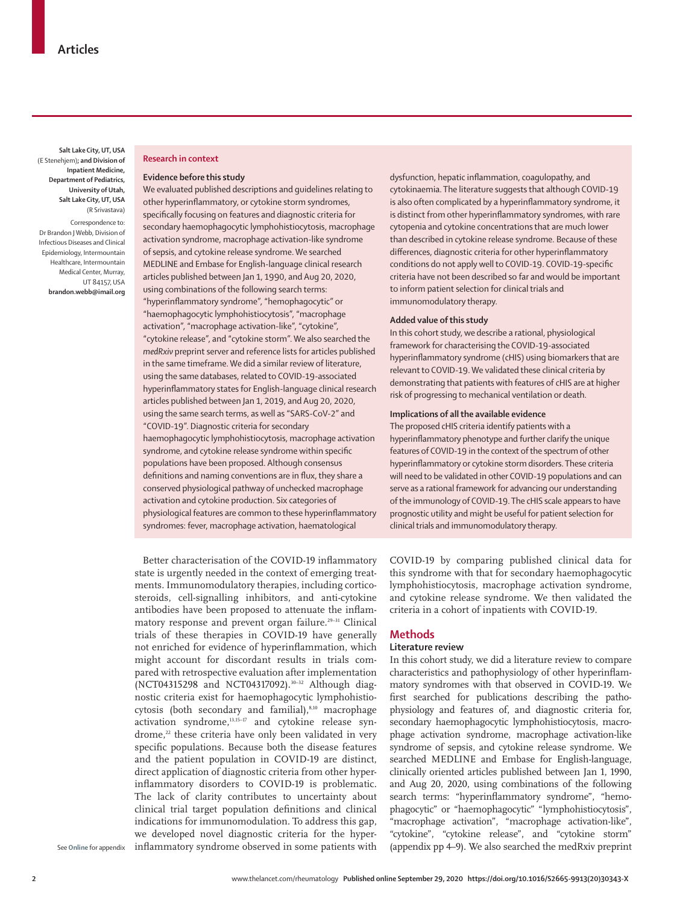**Salt Lake City, UT, USA** (E Stenehjem)**; and Division of Inpatient Medicine, Department of Pediatrics, University of Utah, Salt Lake City, UT, USA**  (R Srivastava)

Correspondence to: Dr Brandon J Webb, Division of Infectious Diseases and Clinical Epidemiology, Intermountain Healthcare, Intermountain Medical Center, Murray, UT 84157, USA **brandon.webb@imail.org**

## **Research in context**

## **Evidence before this study**

We evaluated published descriptions and guidelines relating to other hyperinflammatory, or cytokine storm syndromes, specifically focusing on features and diagnostic criteria for secondary haemophagocytic lymphohistiocytosis, macrophage activation syndrome, macrophage activation-like syndrome of sepsis, and cytokine release syndrome. We searched MEDLINE and Embase for English-language clinical research articles published between Jan 1, 1990, and Aug 20, 2020, using combinations of the following search terms: "hyperinflammatory syndrome", "hemophagocytic" or "haemophagocytic lymphohistiocytosis", "macrophage activation", "macrophage activation-like", "cytokine", "cytokine release", and "cytokine storm". We also searched the *medRxiv* preprint server and reference lists for articles published in the same timeframe. We did a similar review of literature, using the same databases, related to COVID-19-associated hyperinflammatory states for English-language clinical research articles published between Jan 1, 2019, and Aug 20, 2020, using the same search terms, as well as "SARS-CoV-2" and "COVID-19". Diagnostic criteria for secondary haemophagocytic lymphohistiocytosis, macrophage activation syndrome, and cytokine release syndrome within specific populations have been proposed. Although consensus definitions and naming conventions are in flux, they share a conserved physiological pathway of unchecked macrophage activation and cytokine production. Six categories of physiological features are common to these hyperinflammatory syndromes: fever, macrophage activation, haematological

Better characterisation of the COVID-19 inflammatory state is urgently needed in the context of emerging treatments. Immunomodulatory therapies, including corticosteroids, cell-signalling inhibitors, and anti-cytokine antibodies have been proposed to attenuate the inflammatory response and prevent organ failure.29–31 Clinical trials of these therapies in COVID-19 have generally not enriched for evidence of hyperinflammation, which might account for discordant results in trials compared with retrospective evaluation after implementation (NCT04315298 and NCT04317092).<sup>30-32</sup> Although diagnostic criteria exist for haemophagocytic lymphohistiocytosis (both secondary and familial),<sup>8,10</sup> macrophage  $activation$  syndrome, $^{13,15-17}$  and cytokine release syndrome,<sup>22</sup> these criteria have only been validated in very specific populations. Because both the disease features and the patient population in COVID-19 are distinct, direct application of diagnostic criteria from other hyperinflammatory disorders to COVID-19 is problematic. The lack of clarity contributes to uncertainty about clinical trial target population definitions and clinical indications for immunomodulation. To address this gap, we developed novel diagnostic criteria for the hyperinflammatory syndrome observed in some patients with

dysfunction, hepatic inflammation, coagulopathy, and cytokinaemia. The literature suggests that although COVID-19 is also often complicated by a hyperinflammatory syndrome, it is distinct from other hyperinflammatory syndromes, with rare cytopenia and cytokine concentrations that are much lower than described in cytokine release syndrome. Because of these differences, diagnostic criteria for other hyperinflammatory conditions do not apply well to COVID-19. COVID-19-specific criteria have not been described so far and would be important to inform patient selection for clinical trials and immunomodulatory therapy.

### **Added value of this study**

In this cohort study, we describe a rational, physiological framework for characterising the COVID-19-associated hyperinflammatory syndrome (cHIS) using biomarkers that are relevant to COVID-19. We validated these clinical criteria by demonstrating that patients with features of cHIS are at higher risk of progressing to mechanical ventilation or death.

### **Implications of all the available evidence**

The proposed cHIS criteria identify patients with a hyperinflammatory phenotype and further clarify the unique features of COVID-19 in the context of the spectrum of other hyperinflammatory or cytokine storm disorders. These criteria will need to be validated in other COVID-19 populations and can serve as a rational framework for advancing our understanding of the immunology of COVID-19. The cHIS scale appears to have prognostic utility and might be useful for patient selection for clinical trials and immunomodulatory therapy.

COVID-19 by comparing published clinical data for this syndrome with that for secondary haemophagocytic lymphohistiocytosis, macrophage activation syndrome, and cytokine release syndrome. We then validated the criteria in a cohort of inpatients with COVID-19.

## **Methods**

## **Literature review**

In this cohort study, we did a literature review to compare characteristics and pathophysiology of other hyperinflammatory syndromes with that observed in COVID-19. We first searched for publications describing the pathophysiology and features of, and diagnostic criteria for, secondary haemophagocytic lymphohistiocytosis, macrophage activation syndrome, macrophage activation-like syndrome of sepsis, and cytokine release syndrome. We searched MEDLINE and Embase for English-language, clinically oriented articles published between Jan 1, 1990, and Aug 20, 2020, using combinations of the following search terms: "hyperinflammatory syndrome", "hemophagocytic" or "haemophagocytic" "lymphohistiocytosis", "macrophage activation", "macrophage activation-like", "cytokine", "cytokine release", and "cytokine storm" (appendix pp 4–9). We also searched the medRxiv preprint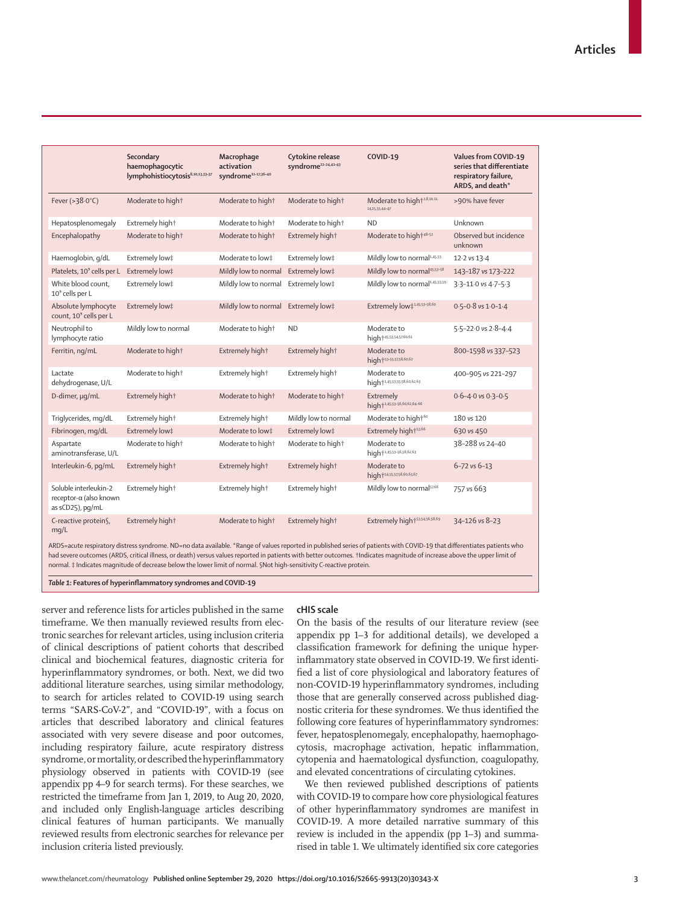|                                                                     | Secondary<br>haemophagocytic<br>lymphohistiocytosis <sup>8,10,13,33-37</sup>                                                                                             | Macrophage<br>activation<br>syndrome11-17,36-40 | Cytokine release<br>syndrome <sup>22-24,41-43</sup> | <b>COVID-19</b>                                           | <b>Values from COVID-19</b><br>series that differentiate<br>respiratory failure,<br>ARDS, and death* |
|---------------------------------------------------------------------|--------------------------------------------------------------------------------------------------------------------------------------------------------------------------|-------------------------------------------------|-----------------------------------------------------|-----------------------------------------------------------|------------------------------------------------------------------------------------------------------|
| Fever ( $>38.0^{\circ}$ C)                                          | Moderate to high†                                                                                                                                                        | Moderate to high†                               | Moderate to high†                                   | Moderate to high <sup>+1,8,10,11,</sup><br>14,15,33,44-47 | >90% have fever                                                                                      |
| Hepatosplenomegaly                                                  | Extremely hight                                                                                                                                                          | Moderate to high†                               | Moderate to high†                                   | <b>ND</b>                                                 | Unknown                                                                                              |
| Encephalopathy                                                      | Moderate to high†                                                                                                                                                        | Moderate to high†                               | Extremely hight                                     | Moderate to high <sup>+48-52</sup>                        | Observed but incidence<br>unknown                                                                    |
| Haemoglobin, g/dL                                                   | Extremely low‡                                                                                                                                                           | Moderate to low‡                                | Extremely low‡                                      | Mildly low to normal <sup>1,45,53</sup>                   | 12-2 vs 13-4                                                                                         |
| Platelets, 10 <sup>9</sup> cells per L                              | Extremely low‡                                                                                                                                                           | Mildly low to normal                            | Extremely low‡                                      | Mildly low to normal <sup>45,53-58</sup>                  | 143-187 vs 173-222                                                                                   |
| White blood count,<br>10 <sup>9</sup> cells per L                   | Extremely low‡                                                                                                                                                           | Mildly low to normal                            | Extremely low‡                                      | Mildly low to normal <sup>1,45,53,59</sup>                | 3-3-11-0 vs 4-7-5-3                                                                                  |
| Absolute lymphocyte<br>count, 10 <sup>9</sup> cells per L           | Extremely low‡                                                                                                                                                           | Mildly low to normal                            | Extremely low‡                                      | Extremely low‡ <sup>1,45,53-58,60</sup>                   | $0.5 - 0.8$ vs $1.0 - 1.4$                                                                           |
| Neutrophil to<br>lymphocyte ratio                                   | Mildly low to normal                                                                                                                                                     | Moderate to high†                               | <b>ND</b>                                           | Moderate to<br>high+45,53,54,57,60,61                     | $5.5 - 22.0$ vs $2.8 - 4.4$                                                                          |
| Ferritin, ng/mL                                                     | Moderate to high†                                                                                                                                                        | Extremely hight                                 | Extremely hight                                     | Moderate to<br>high+53-55,57,58,60,62                     | 800-1598 vs 337-523                                                                                  |
| Lactate<br>dehydrogenase, U/L                                       | Moderate to high†                                                                                                                                                        | Extremely hight                                 | Extremely hight                                     | Moderate to<br>high <sup>+1,45,53,55,58,60,62,63</sup>    | 400-905 vs 221-297                                                                                   |
| D-dimer, µq/mL                                                      | Extremely hight                                                                                                                                                          | Moderate to high†                               | Moderate to high†                                   | Extremely<br>high <sup>+1,45,53-56,60,62,64-66</sup>      | $0.6 - 4.0$ vs $0.3 - 0.5$                                                                           |
| Triglycerides, mg/dL                                                | Extremely hight                                                                                                                                                          | Extremely hight                                 | Mildly low to normal                                | Moderate to high+60                                       | 180 vs 120                                                                                           |
| Fibrinogen, mg/dL                                                   | Extremely low‡                                                                                                                                                           | Moderate to low‡                                | Extremely low‡                                      | Extremely high <sup>+53,66</sup>                          | 630 vs 450                                                                                           |
| Aspartate<br>aminotransferase, U/L                                  | Moderate to high†                                                                                                                                                        | Moderate to high†                               | Moderate to high†                                   | Moderate to<br>high <sup>+1,45,53-56,58,62,63</sup>       | 38-288 vs 24-40                                                                                      |
| Interleukin-6, pg/mL                                                | Extremely hight                                                                                                                                                          | Extremely hight                                 | Extremely hight                                     | Moderate to<br>high+54,55,57,58,60,63,67                  | $6 - 72$ vs $6 - 13$                                                                                 |
| Soluble interleukin-2<br>receptor-α (also known<br>as sCD25), pq/mL | Extremely hight                                                                                                                                                          | Extremely hight                                 | Extremely hight                                     | Mildly low to normal <sup>57,68</sup>                     | 757 vs 663                                                                                           |
| C-reactive protein§,<br>mq/L                                        | Extremely hight                                                                                                                                                          | Moderate to high†                               | Extremely hight                                     | Extremely high <sup>+53,54,56,58,69</sup>                 | 34-126 vs 8-23                                                                                       |
|                                                                     | ARDS=acute respiratory distress syndrome. ND=no data available, *Range of values reported in published series of patients with COVID-19 that differentiates patients who |                                                 |                                                     |                                                           |                                                                                                      |

ARDS=acute respiratory distress syndrome. ND=no data available. \*Range of values reported in published series of patients with COVID-19 that differentiates patients who had severe outcomes (ARDS, critical illness, or death) versus values reported in patients with better outcomes. †Indicates magnitude of increase above the upper limit of normal. ‡ Indicates magnitude of decrease below the lower limit of normal. §Not high-sensitivity C-reactive protein.

*Table 1:* **Features of hyperinflammatory syndromes and COVID-19**

server and reference lists for articles published in the same timeframe. We then manually reviewed results from electronic searches for relevant articles, using inclusion criteria of clinical descriptions of patient cohorts that described clinical and biochemical features, diagnostic criteria for hyperinflammatory syndromes, or both. Next, we did two additional literature searches, using similar methodology, to search for articles related to COVID-19 using search terms "SARS-CoV-2", and "COVID-19", with a focus on articles that described laboratory and clinical features associated with very severe disease and poor outcomes, including respiratory failure, acute respiratory distress syndrome, or mortality, or described the hyperinflammatory physiology observed in patients with COVID-19 (see appendix pp 4–9 for search terms). For these searches, we restricted the timeframe from Jan 1, 2019, to Aug 20, 2020, and included only English-language articles describing clinical features of human participants. We manually reviewed results from electronic searches for relevance per inclusion criteria listed previously.

## **cHIS scale**

On the basis of the results of our literature review (see appendix pp 1–3 for additional details), we developed a classification framework for defining the unique hyperinflammatory state observed in COVID-19. We first identified a list of core physiological and laboratory features of non-COVID-19 hyperinflammatory syndromes, including those that are generally conserved across published diagnostic criteria for these syndromes. We thus identified the following core features of hyperinflammatory syndromes: fever, hepatosplenomegaly, encephalopathy, haemophagocytosis, macrophage activation, hepatic inflammation, cytopenia and haematological dysfunction, coagulopathy, and elevated concentrations of circulating cytokines.

We then reviewed published descriptions of patients with COVID-19 to compare how core physiological features of other hyperinflammatory syndromes are manifest in COVID-19. A more detailed narrative summary of this review is included in the appendix (pp 1–3) and summarised in table 1. We ultimately identified six core categories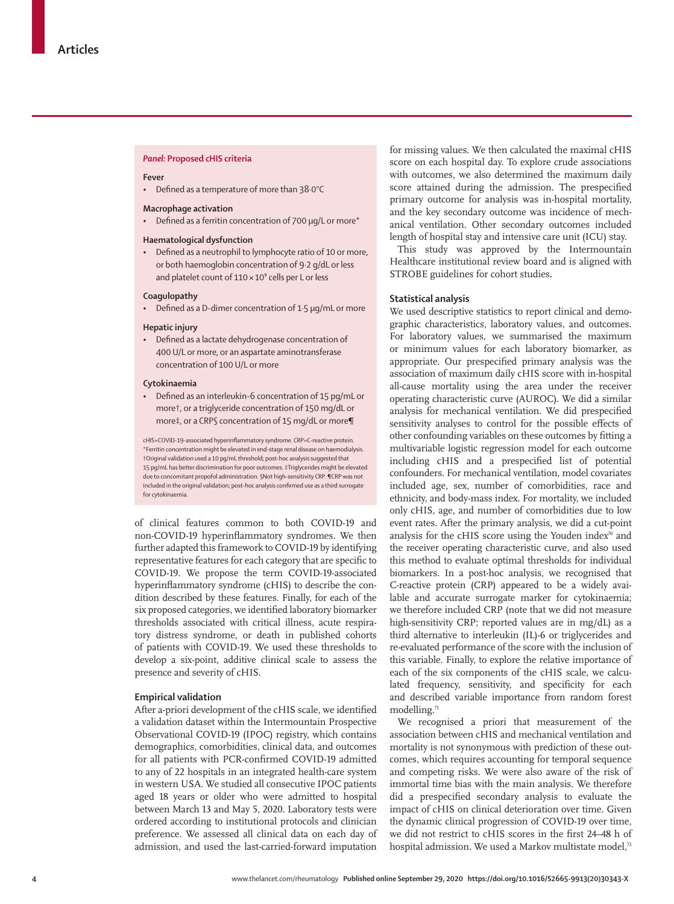#### *Panel:* **Proposed cHIS criteria**

### **Fever**

• Defined as a temperature of more than 38·0°C

## **Macrophage activation**

• Defined as a ferritin concentration of 700 μg/L or more\*

## **Haematological dysfunction**

• Defined as a neutrophil to lymphocyte ratio of 10 or more, or both haemoglobin concentration of 9·2 g/dL or less and platelet count of  $110 \times 10^9$  cells per L or less

#### **Coagulopathy**

• Defined as a D-dimer concentration of 1·5 μg/mL or more

## **Hepatic injury**

• Defined as a lactate dehydrogenase concentration of 400 U/L or more, or an aspartate aminotransferase concentration of 100 U/L or more

## **Cytokinaemia**

• Defined as an interleukin-6 concentration of 15 pg/mL or more†, or a triglyceride concentration of 150 mg/dL or more‡, or a CRP§ concentration of 15 mg/dL or more¶

cHIS=COVID-19-associated hyperinflammatory syndrome. CRP=C-reactive protein. \*Ferritin concentration might be elevated in end-stage renal disease on haemodialysis. †Original validation used a 10 pg/mL threshold; post-hoc analysis suggested that 15 pg/mL has better discrimination for poor outcomes. ‡Triglycerides might be elevated due to concomitant propofol administration. §Not high-sensitivity CRP. ¶CRP was not included in the original validation; post-hoc analysis confirmed use as a third surrogate for cytokinaemia.

of clinical features common to both COVID-19 and non-COVID-19 hyperinflammatory syndromes. We then further adapted this framework to COVID-19 by identifying representative features for each category that are specific to COVID-19. We propose the term COVID-19-associated hyperinflammatory syndrome (cHIS) to describe the condition described by these features. Finally, for each of the six proposed categories, we identified laboratory biomarker thresholds associated with critical illness, acute respiratory distress syndrome, or death in published cohorts of patients with COVID-19. We used these thresholds to develop a six-point, additive clinical scale to assess the presence and severity of cHIS.

### **Empirical validation**

After a-priori development of the cHIS scale, we identified a validation dataset within the Intermountain Prospective Observational COVID-19 (IPOC) registry, which contains demographics, comorbidities, clinical data, and outcomes for all patients with PCR-confirmed COVID-19 admitted to any of 22 hospitals in an integrated health-care system in western USA. We studied all consecutive IPOC patients aged 18 years or older who were admitted to hospital between March 13 and May 5, 2020. Laboratory tests were ordered according to institutional protocols and clinician preference. We assessed all clinical data on each day of admission, and used the last-carried-forward imputation

for missing values. We then calculated the maximal cHIS score on each hospital day. To explore crude associations with outcomes, we also determined the maximum daily score attained during the admission. The prespecified primary outcome for analysis was in-hospital mortality, and the key secondary outcome was incidence of mechanical ventilation. Other secondary outcomes included length of hospital stay and intensive care unit (ICU) stay.

This study was approved by the Intermountain Healthcare institutional review board and is aligned with STROBE guidelines for cohort studies**.**

## **Statistical analysis**

We used descriptive statistics to report clinical and demographic characteristics, laboratory values, and outcomes. For laboratory values, we summarised the maximum or minimum values for each laboratory biomarker, as appropriate. Our prespecified primary analysis was the association of maximum daily cHIS score with in-hospital all-cause mortality using the area under the receiver operating characteristic curve (AUROC). We did a similar analysis for mechanical ventilation. We did prespecified sensitivity analyses to control for the possible effects of other confounding variables on these outcomes by fitting a multivariable logistic regression model for each outcome including cHIS and a prespecified list of potential confounders. For mechanical ventilation, model covariates included age, sex, number of comorbidities, race and ethnicity, and body-mass index. For mortality, we included only cHIS, age, and number of comorbidities due to low event rates. After the primary analysis, we did a cut-point analysis for the cHIS score using the Youden index<sup>70</sup> and the receiver operating characteristic curve, and also used this method to evaluate optimal thresholds for individual biomarkers. In a post-hoc analysis, we recognised that C-reactive protein (CRP) appeared to be a widely available and accurate surrogate marker for cytokinaemia; we therefore included CRP (note that we did not measure high-sensitivity CRP; reported values are in mg/dL) as a third alternative to interleukin (IL)-6 or triglycerides and re-evaluated performance of the score with the inclusion of this variable. Finally, to explore the relative importance of each of the six components of the cHIS scale, we calculated frequency, sensitivity, and specificity for each and described variable importance from random forest modelling.<sup>71</sup>

We recognised a priori that measurement of the association between cHIS and mechanical ventilation and mortality is not synonymous with prediction of these outcomes, which requires accounting for temporal sequence and competing risks. We were also aware of the risk of immortal time bias with the main analysis. We therefore did a prespecified secondary analysis to evaluate the impact of cHIS on clinical deterioration over time. Given the dynamic clinical progression of COVID-19 over time, we did not restrict to cHIS scores in the first 24–48 h of hospital admission. We used a Markov multistate model,<sup>72</sup>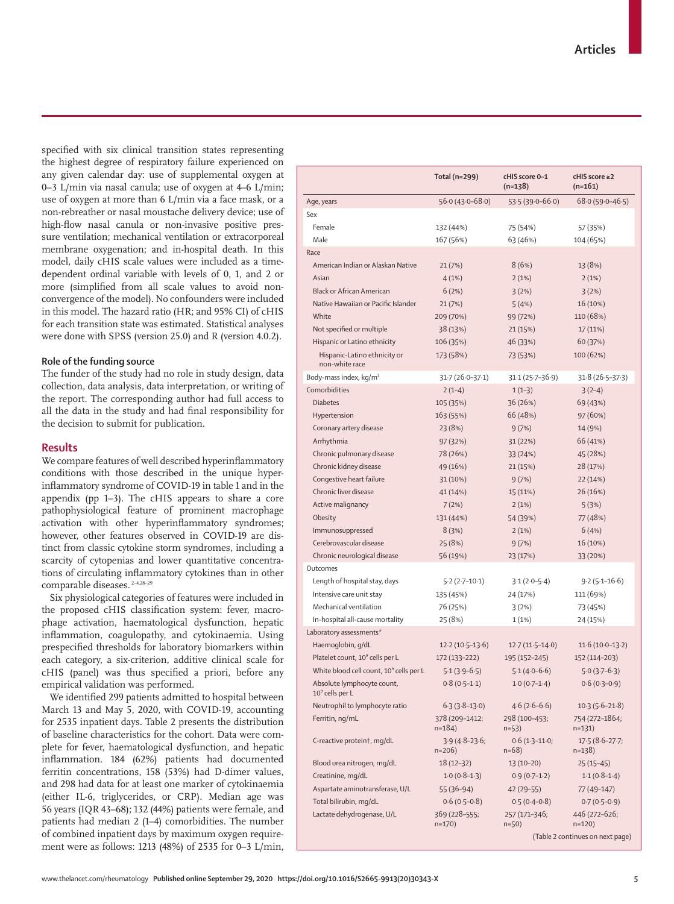specified with six clinical transition states representing the highest degree of respiratory failure experienced on any given calendar day: use of supplemental oxygen at 0–3 L/min via nasal canula; use of oxygen at 4–6 L/min; use of oxygen at more than 6 L/min via a face mask, or a non-rebreather or nasal moustache delivery device; use of high-flow nasal canula or non-invasive positive pressure ventilation; mechanical ventilation or extracorporeal membrane oxygenation; and in-hospital death. In this model, daily cHIS scale values were included as a timedependent ordinal variable with levels of 0, 1, and 2 or more (simplified from all scale values to avoid nonconvergence of the model). No confounders were included in this model. The hazard ratio (HR; and 95% CI) of cHIS for each transition state was estimated. Statistical analyses were done with SPSS (version 25.0) and R (version 4.0.2).

## **Role of the funding source**

The funder of the study had no role in study design, data collection, data analysis, data interpretation, or writing of the report. The corresponding author had full access to all the data in the study and had final responsibility for the decision to submit for publication.

## **Results**

We compare features of well described hyperinflammatory conditions with those described in the unique hyperinflammatory syndrome of COVID-19 in table 1 and in the appendix (pp 1–3). The cHIS appears to share a core pathophysiological feature of prominent macrophage activation with other hyperinflammatory syndromes; however, other features observed in COVID-19 are distinct from classic cytokine storm syndromes, including a scarcity of cytopenias and lower quantitative concentrations of circulating inflammatory cytokines than in other comparable diseases. 2–4,28–29

Six physiological categories of features were included in the proposed cHIS classification system: fever, macrophage activation, haematological dysfunction, hepatic inflammation, coagulopathy, and cytokinaemia. Using prespecified thresholds for laboratory biomarkers within each category, a six-criterion, additive clinical scale for cHIS (panel) was thus specified a priori, before any empirical validation was performed.

We identified 299 patients admitted to hospital between March 13 and May 5, 2020, with COVID-19, accounting for 2535 inpatient days. Table 2 presents the distribution of baseline characteristics for the cohort. Data were complete for fever, haematological dysfunction, and hepatic inflammation. 184 (62%) patients had documented ferritin concentrations, 158 (53%) had D-dimer values, and 298 had data for at least one marker of cytokinaemia (either IL-6, triglycerides, or CRP). Median age was 56 years (IQR 43–68); 132 (44%) patients were female, and patients had median 2 (1–4) comorbidities. The number of combined inpatient days by maximum oxygen requirement were as follows: 1213 (48%) of 2535 for 0–3 L/min,

|                                                           | Total (n=299)               | cHIS score 0-1<br>$(n=138)$ | cHIS score ≥2<br>$(n=161)$       |
|-----------------------------------------------------------|-----------------------------|-----------------------------|----------------------------------|
| Age, years                                                | $56.0(43.0 - 68.0)$         | $53.5(39.0-66.0)$           | $68.0(59.0 - 46.5)$              |
| Sex                                                       |                             |                             |                                  |
| Female                                                    | 132 (44%)                   | 75 (54%)                    | 57 (35%)                         |
| Male                                                      | 167 (56%)                   | 63 (46%)                    | 104 (65%)                        |
| Race                                                      |                             |                             |                                  |
| American Indian or Alaskan Native                         | 21 (7%)                     | 8(6%)                       | 13 (8%)                          |
| Asian                                                     | 4(1%)                       | 2(1%)                       | 2(1%)                            |
| <b>Black or African American</b>                          | 6(2%)                       | 3(2%)                       | 3(2%)                            |
| Native Hawaiian or Pacific Islander                       | 21 (7%)                     | 5(4%)                       | 16 (10%)                         |
| White                                                     | 209 (70%)                   | 99 (72%)                    | 110 (68%)                        |
| Not specified or multiple                                 | 38 (13%)                    | 21 (15%)                    | 17 (11%)                         |
| Hispanic or Latino ethnicity                              | 106 (35%)                   | 46 (33%)                    | 60 (37%)                         |
| Hispanic-Latino ethnicity or<br>non-white race            | 173 (58%)                   | 73 (53%)                    | 100 (62%)                        |
| Body-mass index, kg/m <sup>2</sup>                        | $31.7(26.0-37.1)$           | $31.1(25.7 - 36.9)$         | $31.8(26.5-37.3)$                |
| Comorbidities                                             | $2(1-4)$                    | $1(1-3)$                    | $3(2-4)$                         |
| <b>Diabetes</b>                                           | 105 (35%)                   | 36 (26%)                    | 69 (43%)                         |
| Hypertension                                              | 163 (55%)                   | 66 (48%)                    | 97 (60%)                         |
| Coronary artery disease                                   | 23 (8%)                     | 9(7%)                       | 14 (9%)                          |
| Arrhythmia                                                | 97 (32%)                    | 31 (22%)                    | 66 (41%)                         |
| Chronic pulmonary disease                                 | 78 (26%)                    | 33 (24%)                    | 45 (28%)                         |
| Chronic kidney disease                                    | 49 (16%)                    | 21 (15%)                    | 28 (17%)                         |
| Congestive heart failure                                  | 31(10%)                     | 9(7%)                       | 22 (14%)                         |
| Chronic liver disease                                     | 41 (14%)                    | 15 (11%)                    | 26 (16%)                         |
| Active malignancy                                         | 7(2%)                       | 2(1%)                       | 5(3%)                            |
| Obesity                                                   | 131 (44%)                   | 54 (39%)                    | 77 (48%)                         |
| Immunosuppressed                                          | 8(3%)                       | 2(1%)                       | 6(4%)                            |
| Cerebrovascular disease                                   | 25 (8%)                     | 9(7%)                       | 16 (10%)                         |
| Chronic neurological disease                              | 56 (19%)                    | 23 (17%)                    | 33 (20%)                         |
| Outcomes                                                  |                             |                             |                                  |
| Length of hospital stay, days                             | $5.2(2.7-10.1)$             | $3.1(2.0-5.4)$              | $9.2(5.1 - 16.6)$                |
| Intensive care unit stay                                  | 135 (45%)                   | 24 (17%)                    | 111 (69%)                        |
| Mechanical ventilation                                    | 76 (25%)                    | 3(2%)                       | 73 (45%)                         |
| In-hospital all-cause mortality                           | 25 (8%)                     | 1(1%)                       | 24 (15%)                         |
| Laboratory assessments*                                   |                             |                             |                                  |
| Haemoglobin, g/dL                                         | $12.2(10.5-13.6)$           | $12.7(11.5-14.0)$           | $11.6(10.0-13.2)$                |
| Platelet count, 10° cells per L                           | 172 (133-222)               | 195 (152-245)               | 152 (114-203)                    |
| White blood cell count, 10° cells per L                   | $5.1(3.9-6.5)$              | $5.1(4.0-6.6)$              | $5.0(3.7-6.3)$                   |
| Absolute lymphocyte count,<br>10 <sup>9</sup> cells per L | $0.8(0.5-1.1)$              | $1.0(0.7-1.4)$              | $0.6(0.3-0.9)$                   |
| Neutrophil to lymphocyte ratio                            | $6.3(3.8-13.0)$             | $4.6(2.6-6.6)$              | $10.3(5.6-21.8)$                 |
| Ferritin, ng/mL                                           | 378 (209-1412;<br>$n=184$ ) | 298 (100-453;<br>$n=53$ )   | 754 (272-1864;<br>$n=131$        |
| C-reactive protein†, mg/dL                                | $3.9(4.8-23.6)$<br>$n=206$  | $0.6(1.3-11.0;$<br>$n=68$   | $17.5(8.6-27.7)$<br>$n=138$ )    |
| Blood urea nitrogen, mg/dL                                | $18(12-32)$                 | $13(10-20)$                 | $25(15-45)$                      |
| Creatinine, mg/dL                                         | $1.0(0.8-1.3)$              | $0.9(0.7-1.2)$              | $1.1(0.8-1.4)$                   |
| Aspartate aminotransferase, U/L                           | $55(36-94)$                 | 42 (29–55)                  | 77 (49-147)                      |
| Total bilirubin, mg/dL                                    | $0.6(0.5-0.8)$              | $0.5(0.4-0.8)$              | $0.7(0.5-0.9)$                   |
| Lactate dehydrogenase, U/L                                | 369 (228–555;<br>$n=170$    | 257 (171-346;<br>$n=50$ )   | 446 (272-626;<br>$n=120$ )       |
|                                                           |                             |                             | (Table 2 continues on next page) |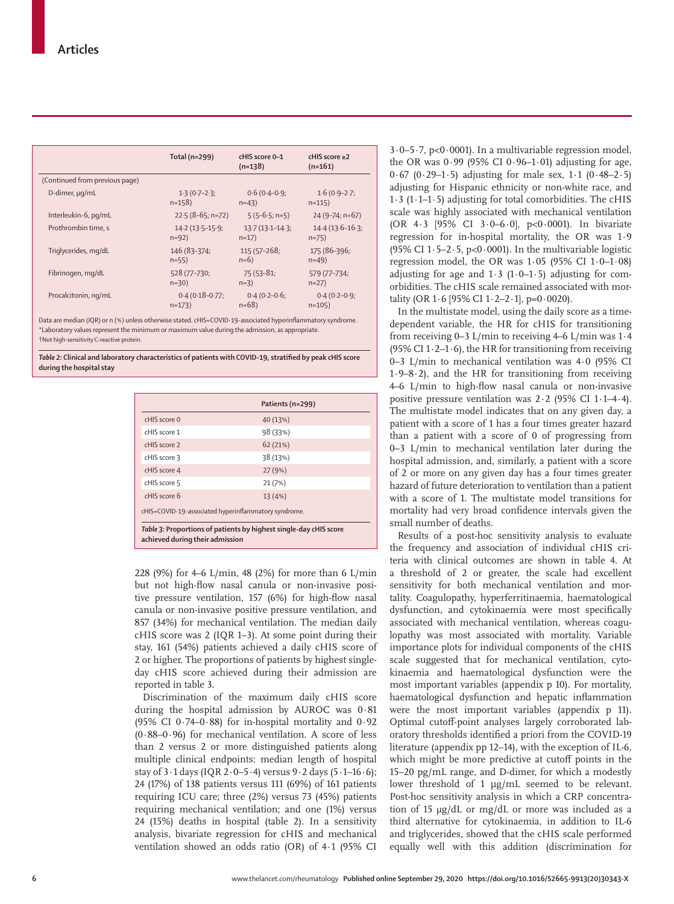|                                | Total ( $n=299$ )  | cHIS score 0-1<br>$(n=138)$ | cHIS score $\geq$ 2<br>$(n=161)$ |
|--------------------------------|--------------------|-----------------------------|----------------------------------|
| (Continued from previous page) |                    |                             |                                  |
| D-dimer, µq/mL                 | $1.3(0.7-2.3)$     | $0.6(0.4-0.9)$              | $1.6(0.9-2.7)$                   |
|                                | $n=158$            | $n=43$                      | $n=115$                          |
| Interleukin-6, pg/mL           | $22.5(8-65; n=72)$ | $5(5-6.5; n=5)$             | $24 (9 - 74; n = 67)$            |
| Prothrombin time, s            | $14.2(13.5-15.9)$  | $13.7(13.1 - 14.3)$         | $14.4(13.6 - 16.3)$              |
|                                | $n = 92$           | $n=17$                      | $n=75$                           |
| Triglycerides, mg/dL           | 146 (83-374;       | 115 (57-268;                | 175 (86-396;                     |
|                                | $n=55$             | $n=6$ )                     | $n = 49$                         |
| Fibrinogen, mg/dL              | 528 (77-730;       | $75(53-81;$                 | 579 (77-734;                     |
|                                | $n=30$ )           | $n=3$ )                     | $n=27$                           |
| Procalcitonin, ng/mL           | $0.4(0.18-0.77)$   | $0.4(0.2-0.6)$              | $0.4(0.2 - 0.9)$                 |
|                                | $n=173$            | $n=68$ )                    | $n = 105$                        |

Data are median (IQR) or n (%) unless otherwise stated. cHIS=COVID-19-associated hyperinflammatory syndrome. \*Laboratory values represent the minimum or maximum value during the admission, as appropriate. †Not high-sensitivity C-reactive protein.

*Table 2:* **Clinical and laboratory characteristics of patients with COVID-19, stratified by peak cHIS score during the hospital stay**

| 40 (13%)<br>98 (33%)<br>62(21%)                                   |
|-------------------------------------------------------------------|
|                                                                   |
|                                                                   |
|                                                                   |
| 38 (13%)                                                          |
| 27 (9%)                                                           |
| 21(7%)                                                            |
| 13(4%)                                                            |
| cHIS=COVID-19-associated hyperinflammatory syndrome.              |
| Table 3: Proportions of patients by highest single-day cHIS score |

**achieved during their admission**

228 (9%) for 4–6 L/min, 48 (2%) for more than 6 L/min but not high-flow nasal canula or non-invasive positive pressure ventilation, 157 (6%) for high-flow nasal canula or non-invasive positive pressure ventilation, and 857 (34%) for mechanical ventilation. The median daily cHIS score was 2 (IQR 1–3). At some point during their stay, 161 (54%) patients achieved a daily cHIS score of 2 or higher. The proportions of patients by highest singleday cHIS score achieved during their admission are reported in table 3.

Discrimination of the maximum daily cHIS score during the hospital admission by AUROC was 0·81 (95% CI  $0.74-0.88$ ) for in-hospital mortality and  $0.92$ (0·88–0·96) for mechanical ventilation. A score of less than 2 versus 2 or more distinguished patients along multiple clinical endpoints: median length of hospital stay of  $3.1$  days (IQR  $2.0 - 5.4$ ) versus  $9.2$  days ( $5.1 - 16.6$ ); 24 (17%) of 138 patients versus 111 (69%) of 161 patients requiring ICU care; three (2%) versus 73 (45%) patients requiring mechanical ventilation; and one (1%) versus 24 (15%) deaths in hospital (table 2). In a sensitivity analysis, bivariate regression for cHIS and mechanical ventilation showed an odds ratio (OR) of 4·1 (95% CI  $3.0 - 5.7$ , p<0.0001). In a multivariable regression model, the OR was  $0.99$  (95% CI  $0.96-1.01$ ) adjusting for age, 0.67 (0.29–1.5) adjusting for male sex,  $1.1$  (0.48–2.5) adjusting for Hispanic ethnicity or non-white race, and 1·3 (1·1–1·5) adjusting for total comorbidities. The cHIS scale was highly associated with mechanical ventilation (OR 4·3 [95% CI 3·0–6·0], p<0·0001). In bivariate regression for in-hospital mortality, the OR was 1·9 (95% CI  $1.5-2.5$ , p<0.0001). In the multivariable logistic regression model, the OR was  $1.05$  (95% CI  $1.0-1.08$ ) adjusting for age and  $1.3$  ( $1.0-1.5$ ) adjusting for comorbidities. The cHIS scale remained associated with mortality (OR  $1.6$  [95% CI  $1.2-2.1$ ], p=0.0020).

In the multistate model, using the daily score as a timedependent variable, the HR for cHIS for transitioning from receiving 0–3 L/min to receiving 4–6 L/min was 1·4 (95% CI 1 $\cdot$  2–1 $\cdot$  6), the HR for transitioning from receiving 0–3 L/min to mechanical ventilation was 4·0 (95% CI 1.9–8.2), and the HR for transitioning from receiving 4–6 L/min to high-flow nasal canula or non-invasive positive pressure ventilation was 2·2 (95% CI 1·1–4·4). The multistate model indicates that on any given day, a patient with a score of 1 has a four times greater hazard than a patient with a score of 0 of progressing from 0–3 L/min to mechanical ventilation later during the hospital admission, and, similarly, a patient with a score of 2 or more on any given day has a four times greater hazard of future deterioration to ventilation than a patient with a score of 1. The multistate model transitions for mortality had very broad confidence intervals given the small number of deaths.

Results of a post-hoc sensitivity analysis to evaluate the frequency and association of individual cHIS criteria with clinical outcomes are shown in table 4. At a threshold of 2 or greater, the scale had excellent sensitivity for both mechanical ventilation and mortality. Coagulopathy, hyperferritinaemia, haematological dysfunction, and cytokinaemia were most specifically associated with mechanical ventilation, whereas coagulopathy was most associated with mortality. Variable importance plots for individual components of the cHIS scale suggested that for mechanical ventilation, cytokinaemia and haematological dysfunction were the most important variables (appendix p 10). For mortality, haematological dysfunction and hepatic inflammation were the most important variables (appendix p 11). Optimal cutoff-point analyses largely corroborated laboratory thresholds identified a priori from the COVID-19 literature (appendix pp 12–14), with the exception of IL-6, which might be more predictive at cutoff points in the 15–20 pg/mL range, and D-dimer, for which a modestly lower threshold of 1 μg/mL seemed to be relevant. Post-hoc sensitivity analysis in which a CRP concentration of 15 μg/dL or mg/dL or more was included as a third alternative for cytokinaemia, in addition to IL-6 and triglycerides, showed that the cHIS scale performed equally well with this addition (discrimination for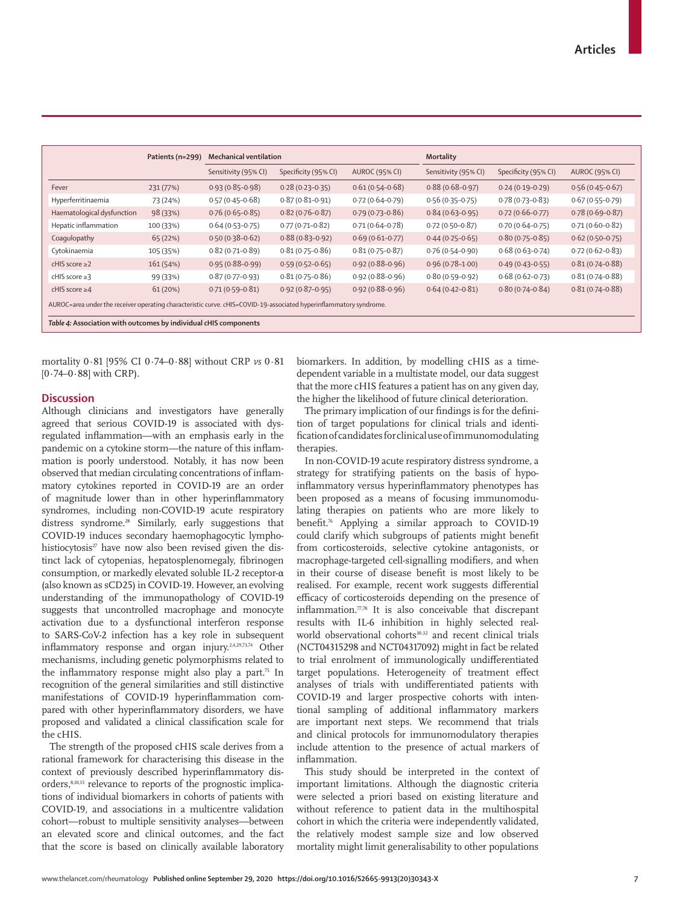|                            | Patients (n=299) | <b>Mechanical ventilation</b> |                      | <b>Mortality</b>      |                      |                      |                       |
|----------------------------|------------------|-------------------------------|----------------------|-----------------------|----------------------|----------------------|-----------------------|
|                            |                  | Sensitivity (95% CI)          | Specificity (95% CI) | <b>AUROC (95% CI)</b> | Sensitivity (95% CI) | Specificity (95% CI) | <b>AUROC (95% CI)</b> |
| Fever                      | 231 (77%)        | $0.93(0.85 - 0.98)$           | $0.28(0.23 - 0.35)$  | $0.61(0.54 - 0.68)$   | $0.88(0.68 - 0.97)$  | $0.24(0.19 - 0.29)$  | $0.56(0.45 - 0.67)$   |
| Hyperferritinaemia         | 73 (24%)         | $0.57(0.45 - 0.68)$           | $0.87(0.81 - 0.91)$  | $0.72(0.64 - 0.79)$   | $0.56(0.35 - 0.75)$  | $0.78(0.73 - 0.83)$  | $0.67(0.55 - 0.79)$   |
| Haematological dysfunction | 98 (33%)         | $0.76(0.65 - 0.85)$           | $0.82(0.76 - 0.87)$  | $0.79(0.73 - 0.86)$   | $0.84(0.63 - 0.95)$  | $0.72(0.66 - 0.77)$  | $0.78(0.69 - 0.87)$   |
| Hepatic inflammation       | 100 (33%)        | $0.64(0.53 - 0.75)$           | $0.77(0.71 - 0.82)$  | $0.71(0.64 - 0.78)$   | $0.72(0.50-0.87)$    | $0.70(0.64 - 0.75)$  | $0.71(0.60 - 0.82)$   |
| Coaqulopathy               | 65(22%)          | $0.50(0.38 - 0.62)$           | $0.88(0.83 - 0.92)$  | $0.69(0.61 - 0.77)$   | $0.44(0.25 - 0.65)$  | $0.80(0.75 - 0.85)$  | $0.62(0.50-0.75)$     |
| Cytokinaemia               | 105 (35%)        | $0.82(0.71-0.89)$             | $0.81(0.75 - 0.86)$  | $0.81(0.75 - 0.87)$   | $0.76(0.54 - 0.90)$  | $0.68(0.63 - 0.74)$  | $0.72(0.62 - 0.83)$   |
| cHIS score $\geq$ 2        | 161 (54%)        | $0.95(0.88 - 0.99)$           | $0.59(0.52 - 0.65)$  | $0.92(0.88 - 0.96)$   | $0.96(0.78-1.00)$    | $0.49(0.43 - 0.55)$  | $0.81(0.74 - 0.88)$   |
| cHIS score $\geq$ 3        | 99 (33%)         | $0.87(0.77-0.93)$             | $0.81(0.75 - 0.86)$  | $0.92(0.88 - 0.96)$   | $0.80(0.59 - 0.92)$  | $0.68(0.62 - 0.73)$  | $0.81(0.74 - 0.88)$   |
| cHIS score $\geq$ 4        | 61(20%)          | $0.71(0.59 - 0.81)$           | $0.92(0.87 - 0.95)$  | $0.92(0.88 - 0.96)$   | $0.64(0.42 - 0.81)$  | $0.80(0.74 - 0.84)$  | $0.81(0.74 - 0.88)$   |

mortality 0·81 [95% CI 0·74–0·88] without CRP *vs* 0·81  $[0.74 - 0.88]$  with CRP).

## **Discussion**

Although clinicians and investigators have generally agreed that serious COVID-19 is associated with dysregulated inflammation—with an emphasis early in the pandemic on a cytokine storm—the nature of this inflammation is poorly understood. Notably, it has now been observed that median circulating concentrations of inflammatory cytokines reported in COVID-19 are an order of magnitude lower than in other hyperinflammatory syndromes, including non-COVID-19 acute respiratory distress syndrome.<sup>28</sup> Similarly, early suggestions that COVID-19 induces secondary haemophagocytic lymphohistiocytosis<sup>27</sup> have now also been revised given the distinct lack of cytopenias, hepatosplenomegaly, fibrinogen consumption, or markedly elevated soluble IL-2 receptor-α (also known as sCD25) in COVID-19. However, an evolving understanding of the immunopathology of COVID-19 suggests that uncontrolled macrophage and monocyte activation due to a dysfunctional interferon response to SARS-CoV-2 infection has a key role in subsequent inflammatory response and organ injury.2,4,29,73,74 Other mechanisms, including genetic polymorphisms related to the inflammatory response might also play a part.<sup>75</sup> In recognition of the general similarities and still distinctive manifestations of COVID-19 hyperinflammation compared with other hyperinflammatory disorders, we have proposed and validated a clinical classification scale for the cHIS.

The strength of the proposed cHIS scale derives from a rational framework for characterising this disease in the context of previously described hyperinflammatory disorders,8,10,15 relevance to reports of the prognostic implications of individual biomarkers in cohorts of patients with COVID-19, and associations in a multicentre validation cohort—robust to multiple sensitivity analyses—between an elevated score and clinical outcomes, and the fact that the score is based on clinically available laboratory biomarkers. In addition, by modelling cHIS as a timedependent variable in a multistate model, our data suggest that the more cHIS features a patient has on any given day, the higher the likelihood of future clinical deterioration.

The primary implication of our findings is for the definition of target populations for clinical trials and identification of candidates for clinical use of immunomodulating therapies.

In non-COVID-19 acute respiratory distress syndrome, a strategy for stratifying patients on the basis of hypoinflammatory versus hyperinflammatory phenotypes has been proposed as a means of focusing immunomodulating therapies on patients who are more likely to benefit.76 Applying a similar approach to COVID-19 could clarify which subgroups of patients might benefit from corticosteroids, selective cytokine antagonists, or macrophage-targeted cell-signalling modifiers, and when in their course of disease benefit is most likely to be realised. For example, recent work suggests differential efficacy of corticosteroids depending on the presence of inflammation. $77,78$  It is also conceivable that discrepant results with IL-6 inhibition in highly selected realworld observational cohorts<sup>30,32</sup> and recent clinical trials (NCT04315298 and NCT04317092) might in fact be related to trial enrolment of immunologically undifferentiated target populations. Heterogeneity of treatment effect analyses of trials with undifferentiated patients with COVID-19 and larger prospective cohorts with intentional sampling of additional inflammatory markers are important next steps. We recommend that trials and clinical protocols for immunomodulatory therapies include attention to the presence of actual markers of inflammation.

This study should be interpreted in the context of important limitations. Although the diagnostic criteria were selected a priori based on existing literature and without reference to patient data in the multihospital cohort in which the criteria were independently validated, the relatively modest sample size and low observed mortality might limit generalisability to other populations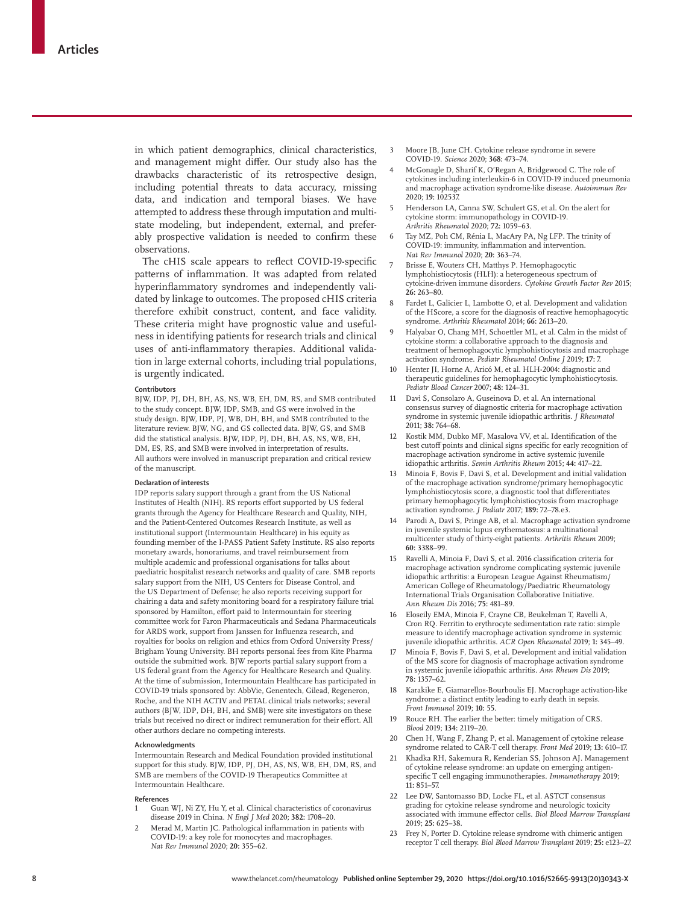in which patient demographics, clinical characteristics, and management might differ. Our study also has the drawbacks characteristic of its retrospective design, including potential threats to data accuracy, missing data, and indication and temporal biases. We have attempted to address these through imputation and multistate modeling, but independent, external, and preferably prospective validation is needed to confirm these observations.

The cHIS scale appears to reflect COVID-19-specific patterns of inflammation. It was adapted from related hyperinflammatory syndromes and independently validated by linkage to outcomes. The proposed cHIS criteria therefore exhibit construct, content, and face validity. These criteria might have prognostic value and usefulness in identifying patients for research trials and clinical uses of anti-inflammatory therapies. Additional validation in large external cohorts, including trial populations, is urgently indicated.

#### **Contributors**

BJW, IDP, PJ, DH, BH, AS, NS, WB, EH, DM, RS, and SMB contributed to the study concept. BJW, IDP, SMB, and GS were involved in the study design. BJW, IDP, PJ, WB, DH, BH, and SMB contributed to the literature review. BJW, NG, and GS collected data. BJW, GS, and SMB did the statistical analysis. BJW, IDP, PJ, DH, BH, AS, NS, WB, EH, DM, ES, RS, and SMB were involved in interpretation of results. All authors were involved in manuscript preparation and critical review of the manuscript.

### **Declaration of interests**

IDP reports salary support through a grant from the US National Institutes of Health (NIH). RS reports effort supported by US federal grants through the Agency for Healthcare Research and Quality, NIH, and the Patient-Centered Outcomes Research Institute, as well as institutional support (Intermountain Healthcare) in his equity as founding member of the I-PASS Patient Safety Institute. RS also reports monetary awards, honorariums, and travel reimbursement from multiple academic and professional organisations for talks about paediatric hospitalist research networks and quality of care. SMB reports salary support from the NIH, US Centers for Disease Control, and the US Department of Defense; he also reports receiving support for chairing a data and safety monitoring board for a respiratory failure trial sponsored by Hamilton, effort paid to Intermountain for steering committee work for Faron Pharmaceuticals and Sedana Pharmaceuticals for ARDS work, support from Janssen for Influenza research, and royalties for books on religion and ethics from Oxford University Press/ Brigham Young University. BH reports personal fees from Kite Pharma outside the submitted work. BJW reports partial salary support from a US federal grant from the Agency for Healthcare Research and Quality. At the time of submission, Intermountain Healthcare has participated in COVID-19 trials sponsored by: AbbVie, Genentech, Gilead, Regeneron, Roche, and the NIH ACTIV and PETAL clinical trials networks; several authors (BJW, IDP, DH, BH, and SMB) were site investigators on these trials but received no direct or indirect remuneration for their effort. All other authors declare no competing interests.

#### **Acknowledgments**

Intermountain Research and Medical Foundation provided institutional support for this study. BJW, IDP, PJ, DH, AS, NS, WB, EH, DM, RS, and SMB are members of the COVID-19 Therapeutics Committee at Intermountain Healthcare.

#### **References**

- 1 Guan WJ, Ni ZY, Hu Y, et al. Clinical characteristics of coronavirus disease 2019 in China. *N Engl J Med* 2020; **382:** 1708–20.
- Merad M, Martin JC. Pathological inflammation in patients with COVID-19: a key role for monocytes and macrophages. *Nat Rev Immunol* 2020; **20:** 355–62.
- 3 Moore JB, June CH. Cytokine release syndrome in severe COVID-19. *Science* 2020; **368:** 473–74.
- 4 McGonagle D, Sharif K, O'Regan A, Bridgewood C. The role of cytokines including interleukin-6 in COVID-19 induced pneumonia and macrophage activation syndrome-like disease. *Autoimmun Rev* 2020; **19:** 102537.
- 5 Henderson LA, Canna SW, Schulert GS, et al. On the alert for cytokine storm: immunopathology in COVID-19. *Arthritis Rheumatol* 2020; **72:** 1059–63.
- 6 Tay MZ, Poh CM, Rénia L, MacAry PA, Ng LFP. The trinity of COVID-19: immunity, inflammation and intervention. *Nat Rev Immunol* 2020; **20:** 363–74.
- Brisse E, Wouters CH, Matthys P. Hemophagocytic lymphohistiocytosis (HLH): a heterogeneous spectrum of cytokine-driven immune disorders. *Cytokine Growth Factor Rev* 2015; **26:** 263–80.
- 8 Fardet L, Galicier L, Lambotte O, et al. Development and validation of the HScore, a score for the diagnosis of reactive hemophagocytic syndrome. *Arthritis Rheumatol* 2014; **66:** 2613–20.
- 9 Halyabar O, Chang MH, Schoettler ML, et al. Calm in the midst of cytokine storm: a collaborative approach to the diagnosis and treatment of hemophagocytic lymphohistiocytosis and macrophage activation syndrome. *Pediatr Rheumatol Online J* 2019; **17:** 7.
- 10 Henter JI, Horne A, Aricó M, et al. HLH-2004: diagnostic and therapeutic guidelines for hemophagocytic lymphohistiocytosis. *Pediatr Blood Cancer* 2007; **48:** 124–31.
- 11 Davì S, Consolaro A, Guseinova D, et al. An international consensus survey of diagnostic criteria for macrophage activation syndrome in systemic juvenile idiopathic arthritis. *J Rheumatol* 2011; **38:** 764–68.
- 12 Kostik MM, Dubko MF, Masalova VV, et al. Identification of the best cutoff points and clinical signs specific for early recognition of macrophage activation syndrome in active systemic juvenile idiopathic arthritis. *Semin Arthritis Rheum* 2015; **44:** 417–22.
- 13 Minoia F, Bovis F, Davi S, et al. Development and initial validation of the macrophage activation syndrome/primary hemophagocytic lymphohistiocytosis score, a diagnostic tool that differentiates primary hemophagocytic lymphohistiocytosis from macrophage activation syndrome. *J Pediatr* 2017; **189:** 72–78.e3.
- Parodi A, Davì S, Pringe AB, et al. Macrophage activation syndrome in juvenile systemic lupus erythematosus: a multinational multicenter study of thirty-eight patients. *Arthritis Rheum* 2009; **60:** 3388–99.
- 15 Ravelli A, Minoia F, Davì S, et al. 2016 classification criteria for macrophage activation syndrome complicating systemic juvenile idiopathic arthritis: a European League Against Rheumatism/ American College of Rheumatology/Paediatric Rheumatology International Trials Organisation Collaborative Initiative. *Ann Rheum Dis* 2016; **75:** 481–89.
- 16 Eloseily EMA, Minoia F, Crayne CB, Beukelman T, Ravelli A, Cron RQ. Ferritin to erythrocyte sedimentation rate ratio: simple measure to identify macrophage activation syndrome in systemic juvenile idiopathic arthritis. *ACR Open Rheumatol* 2019; **1:** 345–49.
- 17 Minoia F, Bovis F, Davì S, et al. Development and initial validation of the MS score for diagnosis of macrophage activation syndrome in systemic juvenile idiopathic arthritis. *Ann Rheum Dis* 2019; **78:** 1357–62.
- 18 Karakike E, Giamarellos-Bourboulis EJ. Macrophage activation-like syndrome: a distinct entity leading to early death in sepsis. *Front Immunol* 2019; **10:** 55.
- 19 Rouce RH. The earlier the better: timely mitigation of CRS. *Blood* 2019; **134:** 2119–20.
- 20 Chen H, Wang F, Zhang P, et al. Management of cytokine release syndrome related to CAR-T cell therapy. *Front Med* 2019; **13:** 610–17.
- 21 Khadka RH, Sakemura R, Kenderian SS, Johnson AJ. Management of cytokine release syndrome: an update on emerging antigenspecific T cell engaging immunotherapies. *Immunotherapy* 2019; **11:** 851–57.
- 22 Lee DW, Santomasso BD, Locke FL, et al. ASTCT consensus grading for cytokine release syndrome and neurologic toxicity associated with immune effector cells. *Biol Blood Marrow Transplant* 2019; **25:** 625–38.
- 23 Frey N, Porter D. Cytokine release syndrome with chimeric antigen receptor T cell therapy. *Biol Blood Marrow Transplant* 2019; **25:** e123–27.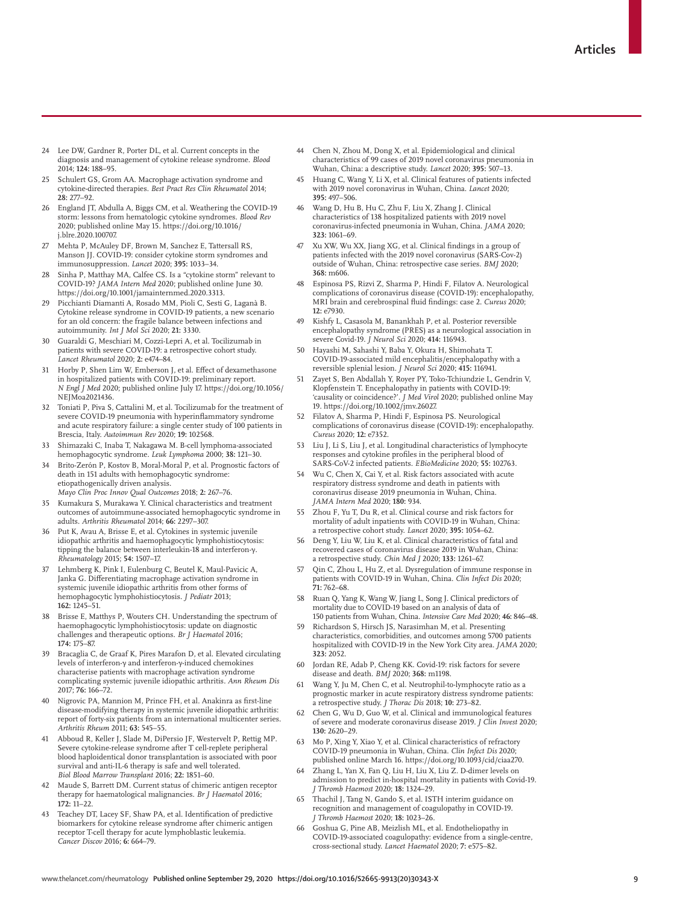- 24 Lee DW, Gardner R, Porter DL, et al. Current concepts in the diagnosis and management of cytokine release syndrome. *Blood* 2014; **124:** 188–95.
- Schulert GS, Grom AA. Macrophage activation syndrome and cytokine-directed therapies. *Best Pract Res Clin Rheumatol* 2014; **28:** 277–92.
- 26 England JT, Abdulla A, Biggs CM, et al. Weathering the COVID-19 storm: lessons from hematologic cytokine syndromes. *Blood Rev* 2020; published online May 15. https://doi.org/10.1016/ j.blre.2020.100707.
- 27 Mehta P, McAuley DF, Brown M, Sanchez E, Tattersall RS, Manson JJ. COVID-19: consider cytokine storm syndromes and immunosuppression. *Lancet* 2020; **395:** 1033–34.
- 28 Sinha P, Matthay MA, Calfee CS. Is a "cytokine storm" relevant to COVID-19? *JAMA Intern Med* 2020; published online June 30. https://doi.org/10.1001/jamainternmed.2020.3313.
- 29 Picchianti Diamanti A, Rosado MM, Pioli C, Sesti G, Laganà B. Cytokine release syndrome in COVID-19 patients, a new scenario for an old concern: the fragile balance between infections and autoimmunity. *Int J Mol Sci* 2020; **21:** 3330.
- 30 Guaraldi G, Meschiari M, Cozzi-Lepri A, et al. Tocilizumab in patients with severe COVID-19: a retrospective cohort study. *Lancet Rheumatol* 2020; **2:** e474–84.
- Horby P, Shen Lim W, Emberson J, et al. Effect of dexamethasone in hospitalized patients with COVID-19: preliminary report. *N Engl J Med* 2020; published online July 17. https://doi.org/10.1056/ NEJMoa2021436.
- 32 Toniati P, Piva S, Cattalini M, et al. Tocilizumab for the treatment of severe COVID-19 pneumonia with hyperinflammatory syndrome and acute respiratory failure: a single center study of 100 patients in Brescia, Italy. *Autoimmun Rev* 2020; **19:** 102568.
- 33 Shimazaki C, Inaba T, Nakagawa M. B-cell lymphoma-associated hemophagocytic syndrome. *Leuk Lymphoma* 2000; **38:** 121–30.
- 34 Brito-Zerón P, Kostov B, Moral-Moral P, et al. Prognostic factors of death in 151 adults with hemophagocytic syndrome: etiopathogenically driven analysis.

*Mayo Clin Proc Innov Qual Outcomes* 2018; **2:** 267–76.

- 35 Kumakura S, Murakawa Y. Clinical characteristics and treatment outcomes of autoimmune-associated hemophagocytic syndrome in adults. *Arthritis Rheumatol* 2014; **66:** 2297–307.
- 36 Put K, Avau A, Brisse E, et al. Cytokines in systemic juvenile idiopathic arthritis and haemophagocytic lymphohistiocytosis: tipping the balance between interleukin-18 and interferon-γ. *Rheumatology* 2015; **54:** 1507–17.
- 37 Lehmberg K, Pink I, Eulenburg C, Beutel K, Maul-Pavicic A, Janka G. Differentiating macrophage activation syndrome in systemic juvenile idiopathic arthritis from other forms of hemophagocytic lymphohistiocytosis. *J Pediatr* 2013; **162:** 1245–51.
- 38 Brisse E, Matthys P, Wouters CH. Understanding the spectrum of haemophagocytic lymphohistiocytosis: update on diagnostic challenges and therapeutic options. *Br J Haematol* 2016; **174:** 175–87.
- 39 Bracaglia C, de Graaf K, Pires Marafon D, et al. Elevated circulating levels of interferon-γ and interferon-γ-induced chemokines characterise patients with macrophage activation syndrome complicating systemic juvenile idiopathic arthritis. *Ann Rheum Dis* 2017; **76:** 166–72.
- 40 Nigrovic PA, Mannion M, Prince FH, et al. Anakinra as first-line disease-modifying therapy in systemic juvenile idiopathic arthritis: report of forty-six patients from an international multicenter series. *Arthritis Rheum* 2011; **63:** 545–55.
- 41 Abboud R, Keller J, Slade M, DiPersio JF, Westervelt P, Rettig MP. Severe cytokine-release syndrome after T cell-replete peripheral blood haploidentical donor transplantation is associated with poor survival and anti-IL-6 therapy is safe and well tolerated. *Biol Blood Marrow Transplant* 2016; **22:** 1851–60.
- 42 Maude S, Barrett DM. Current status of chimeric antigen receptor therapy for haematological malignancies. *Br J Haematol* 2016; **172:** 11–22.
- 43 Teachey DT, Lacey SF, Shaw PA, et al. Identification of predictive biomarkers for cytokine release syndrome after chimeric antigen receptor T-cell therapy for acute lymphoblastic leukemia. *Cancer Discov* 2016; **6:** 664–79.
- 44 Chen N, Zhou M, Dong X, et al. Epidemiological and clinical characteristics of 99 cases of 2019 novel coronavirus pneumonia in Wuhan, China: a descriptive study. *Lancet* 2020; **395:** 507–13.
- Huang C, Wang Y, Li X, et al. Clinical features of patients infected with 2019 novel coronavirus in Wuhan, China. *Lancet* 2020; **395:** 497–506.
- 46 Wang D, Hu B, Hu C, Zhu F, Liu X, Zhang J. Clinical characteristics of 138 hospitalized patients with 2019 novel coronavirus-infected pneumonia in Wuhan, China. *JAMA* 2020; **323:** 1061–69.
- Xu XW, Wu XX, Jiang XG, et al. Clinical findings in a group of patients infected with the 2019 novel coronavirus (SARS-Cov-2) outside of Wuhan, China: retrospective case series. *BMJ* 2020; **368:** m606.
- 48 Espinosa PS, Rizvi Z, Sharma P, Hindi F, Filatov A. Neurological complications of coronavirus disease (COVID-19): encephalopathy, MRI brain and cerebrospinal fluid findings: case 2. *Cureus* 2020; **12:** e7930.
- Kishfy L, Casasola M, Banankhah P, et al. Posterior reversible encephalopathy syndrome (PRES) as a neurological association in severe Covid-19. *J Neurol Sci* 2020; **414:** 116943.
- 50 Hayashi M, Sahashi Y, Baba Y, Okura H, Shimohata T. COVID-19-associated mild encephalitis/encephalopathy with a reversible splenial lesion. *J Neurol Sci* 2020; **415:** 116941.
- Zayet S, Ben Abdallah Y, Royer PY, Toko-Tchiundzie L, Gendrin V, Klopfenstein T. Encephalopathy in patients with COVID-19: 'causality or coincidence?'. *J Med Virol* 2020; published online May 19. https://doi.org/10.1002/jmv.26027.
- 52 Filatov A, Sharma P, Hindi F, Espinosa PS. Neurological complications of coronavirus disease (COVID-19): encephalopathy. *Cureus* 2020; **12:** e7352.
- 53 Liu J, Li S, Liu J, et al. Longitudinal characteristics of lymphocyte responses and cytokine profiles in the peripheral blood of SARS-CoV-2 infected patients. *EBioMedicine* 2020; **55:** 102763.
- 54 Wu C, Chen X, Cai Y, et al. Risk factors associated with acute respiratory distress syndrome and death in patients with coronavirus disease 2019 pneumonia in Wuhan, China. *JAMA Intern Med* 2020; **180:** 934.
- Zhou F, Yu T, Du R, et al. Clinical course and risk factors for mortality of adult inpatients with COVID-19 in Wuhan, China: a retrospective cohort study. *Lancet* 2020; **395:** 1054–62.
- 56 Deng Y, Liu W, Liu K, et al. Clinical characteristics of fatal and recovered cases of coronavirus disease 2019 in Wuhan, China: a retrospective study. *Chin Med J* 2020; **133:** 1261–67.
- 57 Qin C, Zhou L, Hu Z, et al. Dysregulation of immune response in patients with COVID-19 in Wuhan, China. *Clin Infect Dis* 2020; **71:** 762–68.
- 58 Ruan Q, Yang K, Wang W, Jiang L, Song J. Clinical predictors of mortality due to COVID-19 based on an analysis of data of 150 patients from Wuhan, China. *Intensive Care Med* 2020; **46:** 846–48.
- 59 Richardson S, Hirsch JS, Narasimhan M, et al. Presenting characteristics, comorbidities, and outcomes among 5700 patients hospitalized with COVID-19 in the New York City area. *JAMA* 2020; **323:** 2052.
- 60 Jordan RE, Adab P, Cheng KK. Covid-19: risk factors for severe disease and death. *BMJ* 2020; **368:** m1198.
- 61 Wang Y, Ju M, Chen C, et al. Neutrophil-to-lymphocyte ratio as a prognostic marker in acute respiratory distress syndrome patients: a retrospective study. *J Thorac Dis* 2018; **10:** 273–82.
- 62 Chen G, Wu D, Guo W, et al. Clinical and immunological features of severe and moderate coronavirus disease 2019. *J Clin Invest* 2020; **130:** 2620–29.
- 63 Mo P, Xing Y, Xiao Y, et al. Clinical characteristics of refractory COVID-19 pneumonia in Wuhan, China. *Clin Infect Dis* 2020; published online March 16. https://doi.org/10.1093/cid/ciaa270.
- Zhang L, Yan X, Fan Q, Liu H, Liu X, Liu Z. D-dimer levels on admission to predict in-hospital mortality in patients with Covid-19. *J Thromb Haemost* 2020; **18:** 1324–29.
- 65 Thachil J, Tang N, Gando S, et al. ISTH interim guidance on recognition and management of coagulopathy in COVID-19. *J Thromb Haemost* 2020; **18:** 1023–26.
- 66 Goshua G, Pine AB, Meizlish ML, et al. Endotheliopathy in COVID-19-associated coagulopathy: evidence from a single-centre, cross-sectional study. *Lancet Haematol* 2020; **7:** e575–82.